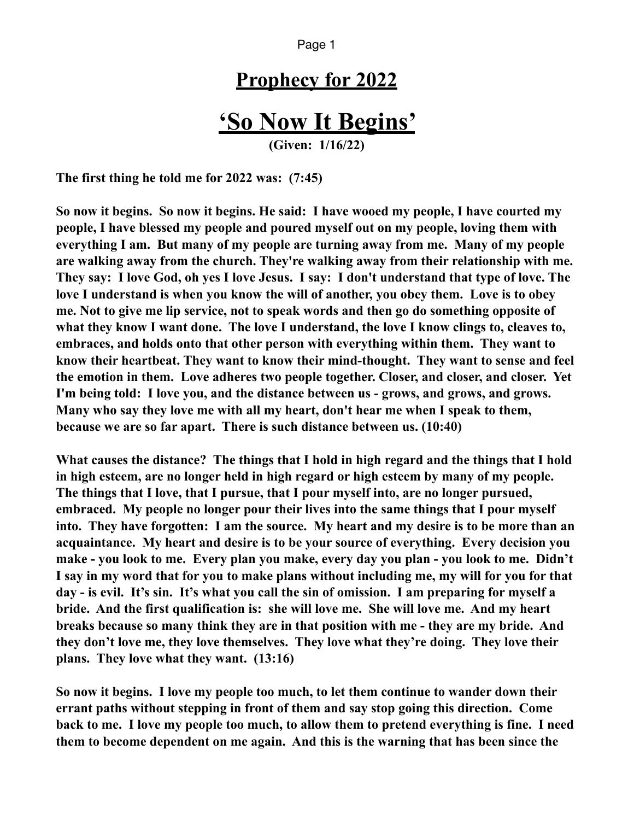Page 1

## **Prophecy for 2022**

## **'So Now It Begins'**

**(Given: 1/16/22)**

**The first thing he told me for 2022 was: (7:45)**

**So now it begins. So now it begins. He said: I have wooed my people, I have courted my people, I have blessed my people and poured myself out on my people, loving them with everything I am. But many of my people are turning away from me. Many of my people are walking away from the church. They're walking away from their relationship with me. They say: I love God, oh yes I love Jesus. I say: I don't understand that type of love. The love I understand is when you know the will of another, you obey them. Love is to obey me. Not to give me lip service, not to speak words and then go do something opposite of what they know I want done. The love I understand, the love I know clings to, cleaves to, embraces, and holds onto that other person with everything within them. They want to know their heartbeat. They want to know their mind-thought. They want to sense and feel the emotion in them. Love adheres two people together. Closer, and closer, and closer. Yet I'm being told: I love you, and the distance between us - grows, and grows, and grows. Many who say they love me with all my heart, don't hear me when I speak to them, because we are so far apart. There is such distance between us. (10:40)**

**What causes the distance? The things that I hold in high regard and the things that I hold in high esteem, are no longer held in high regard or high esteem by many of my people. The things that I love, that I pursue, that I pour myself into, are no longer pursued, embraced. My people no longer pour their lives into the same things that I pour myself into. They have forgotten: I am the source. My heart and my desire is to be more than an acquaintance. My heart and desire is to be your source of everything. Every decision you make - you look to me. Every plan you make, every day you plan - you look to me. Didn't I say in my word that for you to make plans without including me, my will for you for that day - is evil. It's sin. It's what you call the sin of omission. I am preparing for myself a bride. And the first qualification is: she will love me. She will love me. And my heart breaks because so many think they are in that position with me - they are my bride. And they don't love me, they love themselves. They love what they're doing. They love their plans. They love what they want. (13:16)**

**So now it begins. I love my people too much, to let them continue to wander down their errant paths without stepping in front of them and say stop going this direction. Come back to me. I love my people too much, to allow them to pretend everything is fine. I need them to become dependent on me again. And this is the warning that has been since the**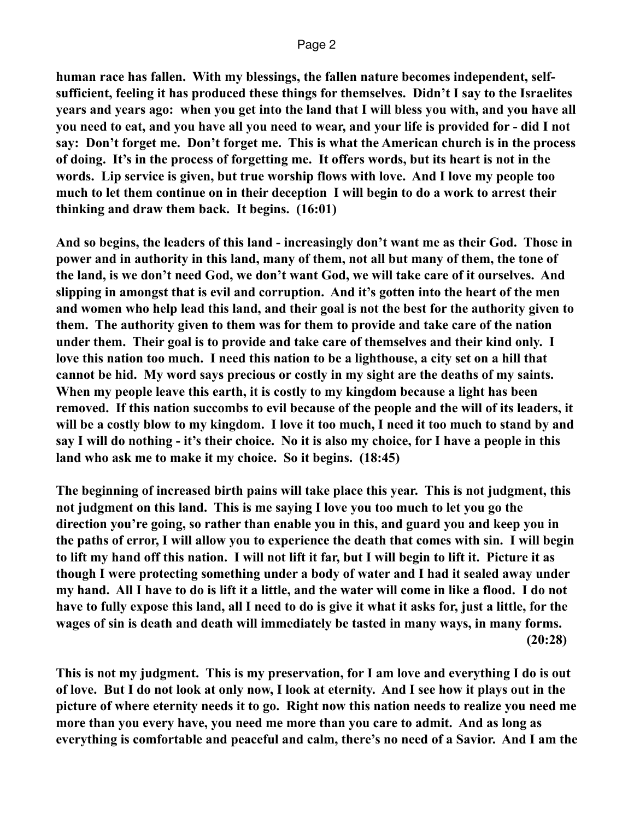**human race has fallen. With my blessings, the fallen nature becomes independent, selfsufficient, feeling it has produced these things for themselves. Didn't I say to the Israelites years and years ago: when you get into the land that I will bless you with, and you have all you need to eat, and you have all you need to wear, and your life is provided for - did I not say: Don't forget me. Don't forget me. This is what the American church is in the process of doing. It's in the process of forgetting me. It offers words, but its heart is not in the words. Lip service is given, but true worship flows with love. And I love my people too much to let them continue on in their deception I will begin to do a work to arrest their thinking and draw them back. It begins. (16:01)**

**And so begins, the leaders of this land - increasingly don't want me as their God. Those in power and in authority in this land, many of them, not all but many of them, the tone of the land, is we don't need God, we don't want God, we will take care of it ourselves. And slipping in amongst that is evil and corruption. And it's gotten into the heart of the men and women who help lead this land, and their goal is not the best for the authority given to them. The authority given to them was for them to provide and take care of the nation under them. Their goal is to provide and take care of themselves and their kind only. I love this nation too much. I need this nation to be a lighthouse, a city set on a hill that cannot be hid. My word says precious or costly in my sight are the deaths of my saints. When my people leave this earth, it is costly to my kingdom because a light has been removed. If this nation succombs to evil because of the people and the will of its leaders, it will be a costly blow to my kingdom. I love it too much, I need it too much to stand by and say I will do nothing - it's their choice. No it is also my choice, for I have a people in this land who ask me to make it my choice. So it begins. (18:45)**

**The beginning of increased birth pains will take place this year. This is not judgment, this not judgment on this land. This is me saying I love you too much to let you go the direction you're going, so rather than enable you in this, and guard you and keep you in the paths of error, I will allow you to experience the death that comes with sin. I will begin to lift my hand off this nation. I will not lift it far, but I will begin to lift it. Picture it as though I were protecting something under a body of water and I had it sealed away under my hand. All I have to do is lift it a little, and the water will come in like a flood. I do not have to fully expose this land, all I need to do is give it what it asks for, just a little, for the wages of sin is death and death will immediately be tasted in many ways, in many forms. (20:28)** 

**This is not my judgment. This is my preservation, for I am love and everything I do is out of love. But I do not look at only now, I look at eternity. And I see how it plays out in the picture of where eternity needs it to go. Right now this nation needs to realize you need me more than you every have, you need me more than you care to admit. And as long as everything is comfortable and peaceful and calm, there's no need of a Savior. And I am the**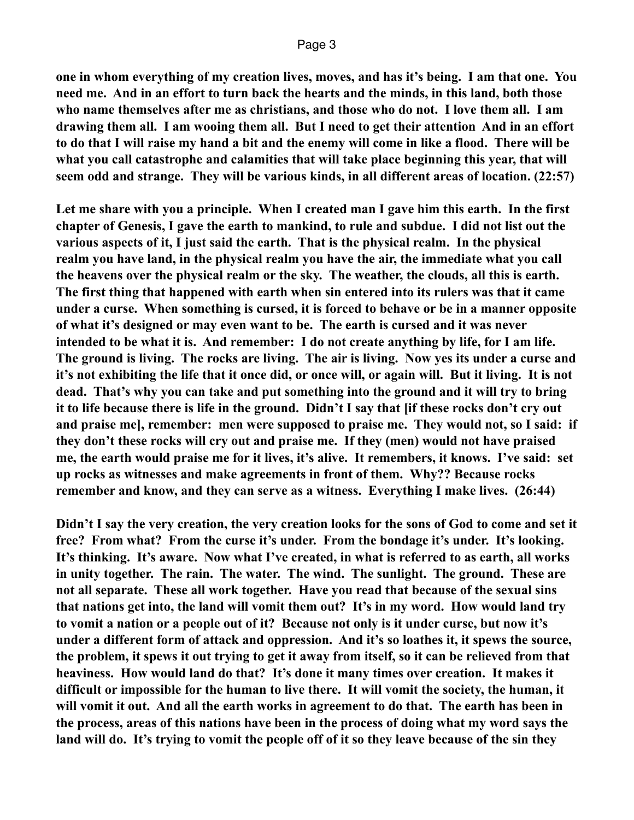**one in whom everything of my creation lives, moves, and has it's being. I am that one. You need me. And in an effort to turn back the hearts and the minds, in this land, both those who name themselves after me as christians, and those who do not. I love them all. I am drawing them all. I am wooing them all. But I need to get their attention And in an effort to do that I will raise my hand a bit and the enemy will come in like a flood. There will be what you call catastrophe and calamities that will take place beginning this year, that will seem odd and strange. They will be various kinds, in all different areas of location. (22:57)**

**Let me share with you a principle. When I created man I gave him this earth. In the first chapter of Genesis, I gave the earth to mankind, to rule and subdue. I did not list out the various aspects of it, I just said the earth. That is the physical realm. In the physical realm you have land, in the physical realm you have the air, the immediate what you call the heavens over the physical realm or the sky. The weather, the clouds, all this is earth. The first thing that happened with earth when sin entered into its rulers was that it came under a curse. When something is cursed, it is forced to behave or be in a manner opposite of what it's designed or may even want to be. The earth is cursed and it was never intended to be what it is. And remember: I do not create anything by life, for I am life. The ground is living. The rocks are living. The air is living. Now yes its under a curse and it's not exhibiting the life that it once did, or once will, or again will. But it living. It is not dead. That's why you can take and put something into the ground and it will try to bring it to life because there is life in the ground. Didn't I say that [if these rocks don't cry out and praise me], remember: men were supposed to praise me. They would not, so I said: if they don't these rocks will cry out and praise me. If they (men) would not have praised me, the earth would praise me for it lives, it's alive. It remembers, it knows. I've said: set up rocks as witnesses and make agreements in front of them. Why?? Because rocks remember and know, and they can serve as a witness. Everything I make lives. (26:44)**

**Didn't I say the very creation, the very creation looks for the sons of God to come and set it free? From what? From the curse it's under. From the bondage it's under. It's looking. It's thinking. It's aware. Now what I've created, in what is referred to as earth, all works in unity together. The rain. The water. The wind. The sunlight. The ground. These are not all separate. These all work together. Have you read that because of the sexual sins that nations get into, the land will vomit them out? It's in my word. How would land try to vomit a nation or a people out of it? Because not only is it under curse, but now it's under a different form of attack and oppression. And it's so loathes it, it spews the source, the problem, it spews it out trying to get it away from itself, so it can be relieved from that heaviness. How would land do that? It's done it many times over creation. It makes it difficult or impossible for the human to live there. It will vomit the society, the human, it will vomit it out. And all the earth works in agreement to do that. The earth has been in the process, areas of this nations have been in the process of doing what my word says the land will do. It's trying to vomit the people off of it so they leave because of the sin they**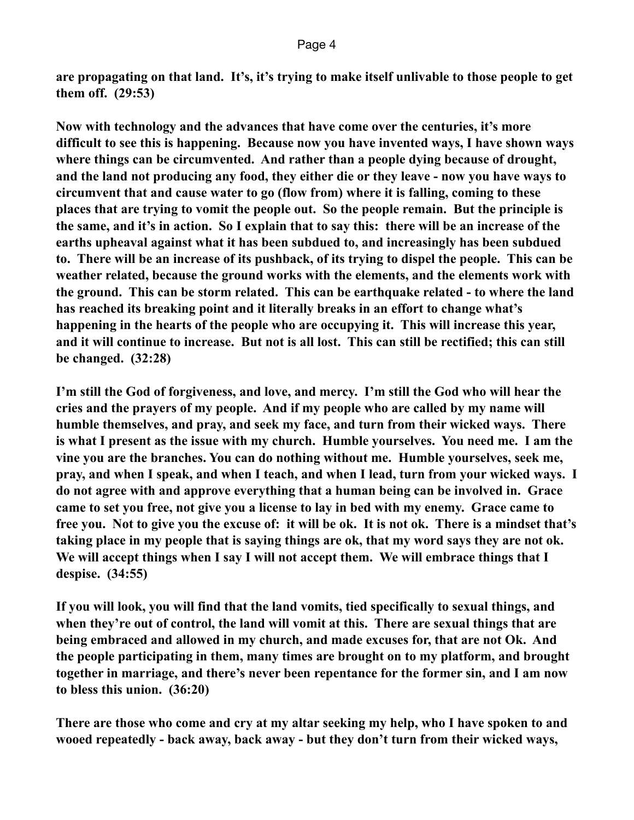**are propagating on that land. It's, it's trying to make itself unlivable to those people to get them off. (29:53)** 

**Now with technology and the advances that have come over the centuries, it's more difficult to see this is happening. Because now you have invented ways, I have shown ways where things can be circumvented. And rather than a people dying because of drought, and the land not producing any food, they either die or they leave - now you have ways to circumvent that and cause water to go (flow from) where it is falling, coming to these places that are trying to vomit the people out. So the people remain. But the principle is the same, and it's in action. So I explain that to say this: there will be an increase of the earths upheaval against what it has been subdued to, and increasingly has been subdued to. There will be an increase of its pushback, of its trying to dispel the people. This can be weather related, because the ground works with the elements, and the elements work with the ground. This can be storm related. This can be earthquake related - to where the land has reached its breaking point and it literally breaks in an effort to change what's happening in the hearts of the people who are occupying it. This will increase this year, and it will continue to increase. But not is all lost. This can still be rectified; this can still be changed. (32:28)**

**I'm still the God of forgiveness, and love, and mercy. I'm still the God who will hear the cries and the prayers of my people. And if my people who are called by my name will humble themselves, and pray, and seek my face, and turn from their wicked ways. There is what I present as the issue with my church. Humble yourselves. You need me. I am the vine you are the branches. You can do nothing without me. Humble yourselves, seek me, pray, and when I speak, and when I teach, and when I lead, turn from your wicked ways. I do not agree with and approve everything that a human being can be involved in. Grace came to set you free, not give you a license to lay in bed with my enemy. Grace came to free you. Not to give you the excuse of: it will be ok. It is not ok. There is a mindset that's taking place in my people that is saying things are ok, that my word says they are not ok. We will accept things when I say I will not accept them. We will embrace things that I despise. (34:55)**

**If you will look, you will find that the land vomits, tied specifically to sexual things, and when they're out of control, the land will vomit at this. There are sexual things that are being embraced and allowed in my church, and made excuses for, that are not Ok. And the people participating in them, many times are brought on to my platform, and brought together in marriage, and there's never been repentance for the former sin, and I am now to bless this union. (36:20)**

**There are those who come and cry at my altar seeking my help, who I have spoken to and wooed repeatedly - back away, back away - but they don't turn from their wicked ways,**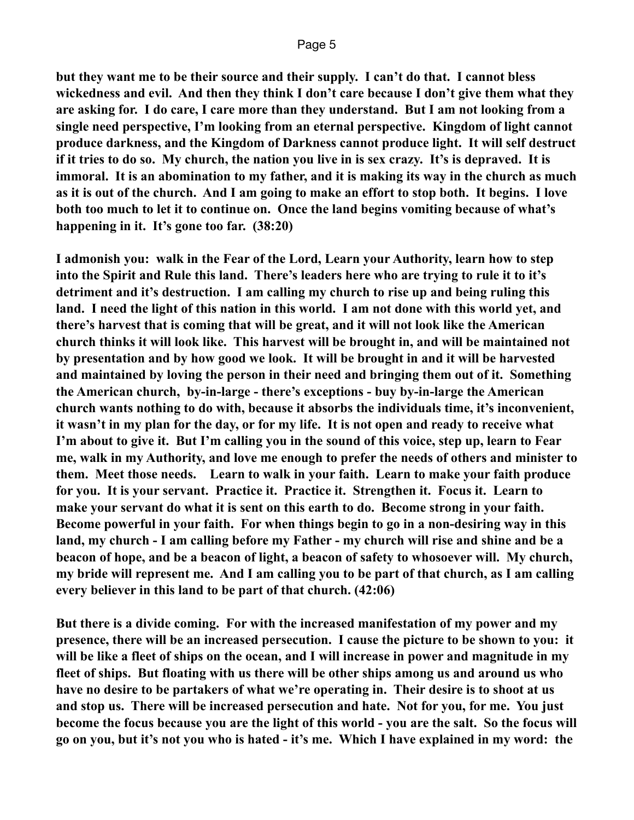**but they want me to be their source and their supply. I can't do that. I cannot bless wickedness and evil. And then they think I don't care because I don't give them what they are asking for. I do care, I care more than they understand. But I am not looking from a single need perspective, I'm looking from an eternal perspective. Kingdom of light cannot produce darkness, and the Kingdom of Darkness cannot produce light. It will self destruct if it tries to do so. My church, the nation you live in is sex crazy. It's is depraved. It is immoral. It is an abomination to my father, and it is making its way in the church as much as it is out of the church. And I am going to make an effort to stop both. It begins. I love both too much to let it to continue on. Once the land begins vomiting because of what's happening in it. It's gone too far. (38:20)**

**I admonish you: walk in the Fear of the Lord, Learn your Authority, learn how to step into the Spirit and Rule this land. There's leaders here who are trying to rule it to it's detriment and it's destruction. I am calling my church to rise up and being ruling this land. I need the light of this nation in this world. I am not done with this world yet, and there's harvest that is coming that will be great, and it will not look like the American church thinks it will look like. This harvest will be brought in, and will be maintained not by presentation and by how good we look. It will be brought in and it will be harvested and maintained by loving the person in their need and bringing them out of it. Something the American church, by-in-large - there's exceptions - buy by-in-large the American church wants nothing to do with, because it absorbs the individuals time, it's inconvenient, it wasn't in my plan for the day, or for my life. It is not open and ready to receive what I'm about to give it. But I'm calling you in the sound of this voice, step up, learn to Fear me, walk in my Authority, and love me enough to prefer the needs of others and minister to them. Meet those needs. Learn to walk in your faith. Learn to make your faith produce for you. It is your servant. Practice it. Practice it. Strengthen it. Focus it. Learn to make your servant do what it is sent on this earth to do. Become strong in your faith. Become powerful in your faith. For when things begin to go in a non-desiring way in this land, my church - I am calling before my Father - my church will rise and shine and be a beacon of hope, and be a beacon of light, a beacon of safety to whosoever will. My church, my bride will represent me. And I am calling you to be part of that church, as I am calling every believer in this land to be part of that church. (42:06)** 

**But there is a divide coming. For with the increased manifestation of my power and my presence, there will be an increased persecution. I cause the picture to be shown to you: it will be like a fleet of ships on the ocean, and I will increase in power and magnitude in my fleet of ships. But floating with us there will be other ships among us and around us who have no desire to be partakers of what we're operating in. Their desire is to shoot at us and stop us. There will be increased persecution and hate. Not for you, for me. You just become the focus because you are the light of this world - you are the salt. So the focus will go on you, but it's not you who is hated - it's me. Which I have explained in my word: the**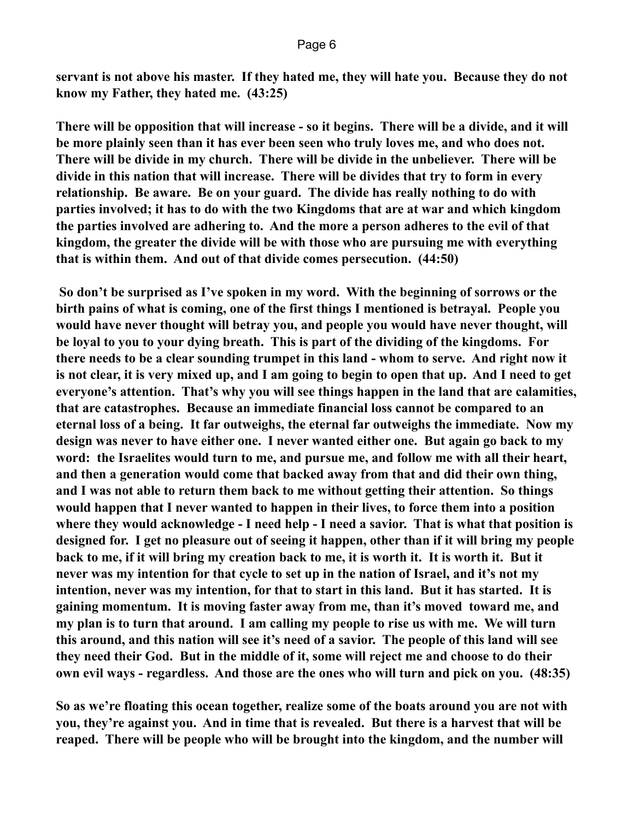**servant is not above his master. If they hated me, they will hate you. Because they do not know my Father, they hated me. (43:25)**

**There will be opposition that will increase - so it begins. There will be a divide, and it will be more plainly seen than it has ever been seen who truly loves me, and who does not. There will be divide in my church. There will be divide in the unbeliever. There will be divide in this nation that will increase. There will be divides that try to form in every relationship. Be aware. Be on your guard. The divide has really nothing to do with parties involved; it has to do with the two Kingdoms that are at war and which kingdom the parties involved are adhering to. And the more a person adheres to the evil of that kingdom, the greater the divide will be with those who are pursuing me with everything that is within them. And out of that divide comes persecution. (44:50)**

 **So don't be surprised as I've spoken in my word. With the beginning of sorrows or the birth pains of what is coming, one of the first things I mentioned is betrayal. People you would have never thought will betray you, and people you would have never thought, will be loyal to you to your dying breath. This is part of the dividing of the kingdoms. For there needs to be a clear sounding trumpet in this land - whom to serve. And right now it is not clear, it is very mixed up, and I am going to begin to open that up. And I need to get everyone's attention. That's why you will see things happen in the land that are calamities, that are catastrophes. Because an immediate financial loss cannot be compared to an eternal loss of a being. It far outweighs, the eternal far outweighs the immediate. Now my design was never to have either one. I never wanted either one. But again go back to my word: the Israelites would turn to me, and pursue me, and follow me with all their heart, and then a generation would come that backed away from that and did their own thing, and I was not able to return them back to me without getting their attention. So things would happen that I never wanted to happen in their lives, to force them into a position where they would acknowledge - I need help - I need a savior. That is what that position is designed for. I get no pleasure out of seeing it happen, other than if it will bring my people back to me, if it will bring my creation back to me, it is worth it. It is worth it. But it never was my intention for that cycle to set up in the nation of Israel, and it's not my intention, never was my intention, for that to start in this land. But it has started. It is gaining momentum. It is moving faster away from me, than it's moved toward me, and my plan is to turn that around. I am calling my people to rise us with me. We will turn this around, and this nation will see it's need of a savior. The people of this land will see they need their God. But in the middle of it, some will reject me and choose to do their own evil ways - regardless. And those are the ones who will turn and pick on you. (48:35)**

**So as we're floating this ocean together, realize some of the boats around you are not with you, they're against you. And in time that is revealed. But there is a harvest that will be reaped. There will be people who will be brought into the kingdom, and the number will**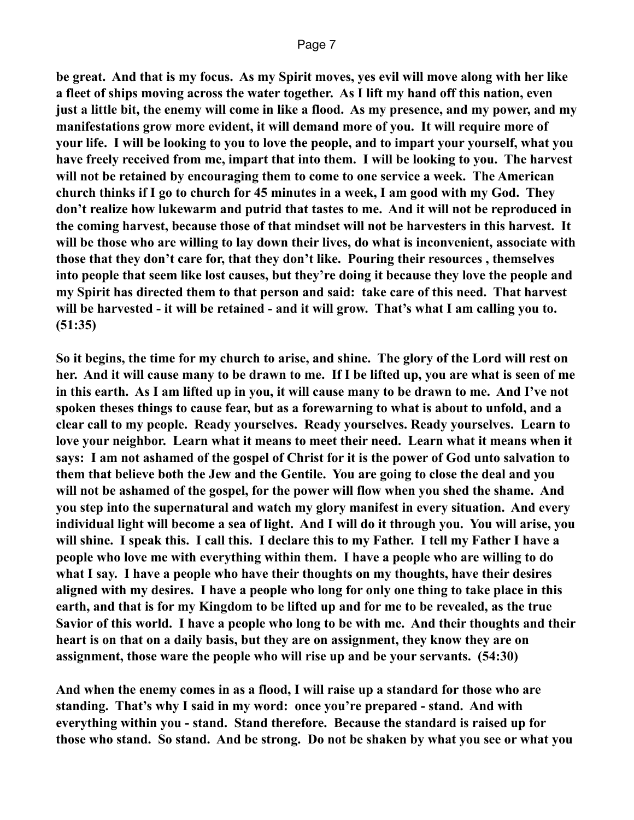**be great. And that is my focus. As my Spirit moves, yes evil will move along with her like a fleet of ships moving across the water together. As I lift my hand off this nation, even just a little bit, the enemy will come in like a flood. As my presence, and my power, and my manifestations grow more evident, it will demand more of you. It will require more of your life. I will be looking to you to love the people, and to impart your yourself, what you have freely received from me, impart that into them. I will be looking to you. The harvest will not be retained by encouraging them to come to one service a week. The American church thinks if I go to church for 45 minutes in a week, I am good with my God. They don't realize how lukewarm and putrid that tastes to me. And it will not be reproduced in the coming harvest, because those of that mindset will not be harvesters in this harvest. It will be those who are willing to lay down their lives, do what is inconvenient, associate with those that they don't care for, that they don't like. Pouring their resources , themselves into people that seem like lost causes, but they're doing it because they love the people and my Spirit has directed them to that person and said: take care of this need. That harvest will be harvested - it will be retained - and it will grow. That's what I am calling you to. (51:35)**

**So it begins, the time for my church to arise, and shine. The glory of the Lord will rest on her. And it will cause many to be drawn to me. If I be lifted up, you are what is seen of me in this earth. As I am lifted up in you, it will cause many to be drawn to me. And I've not spoken theses things to cause fear, but as a forewarning to what is about to unfold, and a clear call to my people. Ready yourselves. Ready yourselves. Ready yourselves. Learn to love your neighbor. Learn what it means to meet their need. Learn what it means when it says: I am not ashamed of the gospel of Christ for it is the power of God unto salvation to them that believe both the Jew and the Gentile. You are going to close the deal and you will not be ashamed of the gospel, for the power will flow when you shed the shame. And you step into the supernatural and watch my glory manifest in every situation. And every individual light will become a sea of light. And I will do it through you. You will arise, you will shine. I speak this. I call this. I declare this to my Father. I tell my Father I have a people who love me with everything within them. I have a people who are willing to do what I say. I have a people who have their thoughts on my thoughts, have their desires aligned with my desires. I have a people who long for only one thing to take place in this earth, and that is for my Kingdom to be lifted up and for me to be revealed, as the true Savior of this world. I have a people who long to be with me. And their thoughts and their heart is on that on a daily basis, but they are on assignment, they know they are on assignment, those ware the people who will rise up and be your servants. (54:30)**

**And when the enemy comes in as a flood, I will raise up a standard for those who are standing. That's why I said in my word: once you're prepared - stand. And with everything within you - stand. Stand therefore. Because the standard is raised up for those who stand. So stand. And be strong. Do not be shaken by what you see or what you**